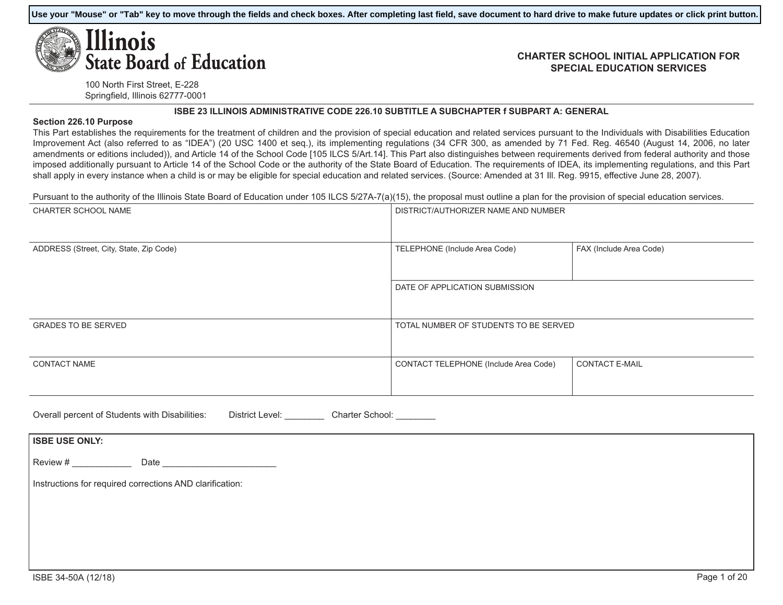**Use your "Mouse" or "Tab" key to move through the fields and check boxes. After completing last field, save document to hard drive to make future updates or click print button.**

# Ilinois **State Board of Education**

#### **CHARTER SCHOOL INITIAL APPLICATION FOR SPECIAL EDUCATION SERVICES**

100 North First Street, E-228 Springfield, Illinois 62777-0001

#### **ISBE 23 ILLINOIS ADMINISTRATIVE CODE 226.10 SUBTITLE A SUBCHAPTER f SUBPART A: GENERAL**

#### **Section 226.10 Purpose**

This Part establishes the requirements for the treatment of children and the provision of special education and related services pursuant to the Individuals with Disabilities Education Improvement Act (also referred to as "IDEA") (20 USC 1400 et seq.), its implementing regulations (34 CFR 300, as amended by 71 Fed. Reg. 46540 (August 14, 2006, no later amendments or editions included)), and Article 14 of the School Code [105 ILCS 5/Art.14]. This Part also distinguishes between requirements derived from federal authority and those imposed additionally pursuant to Article 14 of the School Code or the authority of the State Board of Education. The requirements of IDEA, its implementing regulations, and this Part shall apply in every instance when a child is or may be eligible for special education and related services. (Source: Amended at 31 III. Reg. 9915, effective June 28, 2007).

Pursuant to the authority of the Illinois State Board of Education under 105 ILCS 5/27A-7(a)(15), the proposal must outline a plan for the provision of special education services.

| DISTRICT/AUTHORIZER NAME AND NUMBER   |                         |
|---------------------------------------|-------------------------|
| TELEPHONE (Include Area Code)         | FAX (Include Area Code) |
| DATE OF APPLICATION SUBMISSION        |                         |
| TOTAL NUMBER OF STUDENTS TO BE SERVED |                         |
| CONTACT TELEPHONE (Include Area Code) | <b>CONTACT E-MAIL</b>   |
|                                       |                         |

| Overall percent of Students with Disabilities: | District Level: | Charter School: |  |
|------------------------------------------------|-----------------|-----------------|--|
|                                                |                 |                 |  |

| <b>ISBE USE ONLY:</b> |                                                          |  |  |
|-----------------------|----------------------------------------------------------|--|--|
| Review #              | Date                                                     |  |  |
|                       | Instructions for required corrections AND clarification: |  |  |
|                       |                                                          |  |  |
|                       |                                                          |  |  |
|                       |                                                          |  |  |
|                       |                                                          |  |  |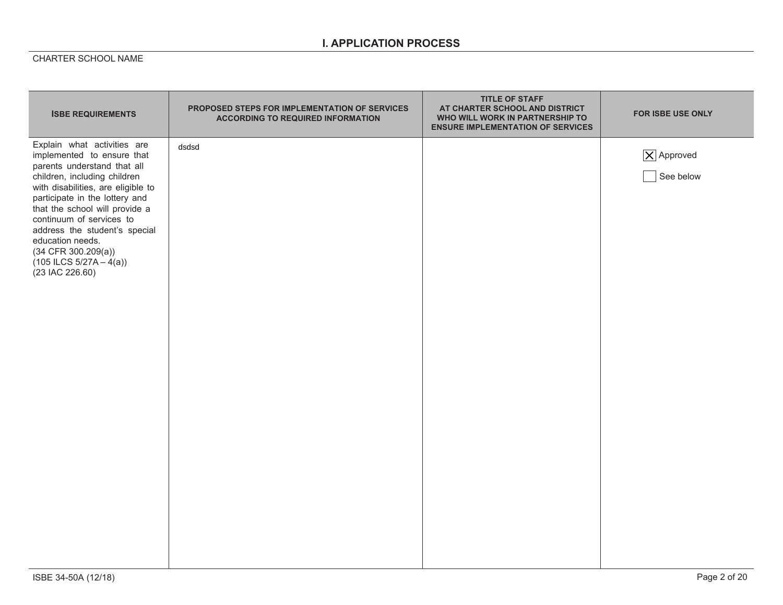## **I. APPLICATION PROCESS**

| <b>ISBE REQUIREMENTS</b>                                                                                                                                                                                                                                                                                                                                                                       | PROPOSED STEPS FOR IMPLEMENTATION OF SERVICES<br><b>ACCORDING TO REQUIRED INFORMATION</b> | <b>TITLE OF STAFF</b><br>AT CHARTER SCHOOL AND DISTRICT<br>WHO WILL WORK IN PARTNERSHIP TO<br><b>ENSURE IMPLEMENTATION OF SERVICES</b> | FOR ISBE USE ONLY                    |
|------------------------------------------------------------------------------------------------------------------------------------------------------------------------------------------------------------------------------------------------------------------------------------------------------------------------------------------------------------------------------------------------|-------------------------------------------------------------------------------------------|----------------------------------------------------------------------------------------------------------------------------------------|--------------------------------------|
| Explain what activities are<br>implemented to ensure that<br>parents understand that all<br>children, including children<br>with disabilities, are eligible to<br>participate in the lottery and<br>that the school will provide a<br>continuum of services to<br>address the student's special<br>education needs.<br>$(34$ CFR 300.209(a))<br>$(105$ ILCS $5/27A - 4(a))$<br>(23 IAC 226.60) | dsdsd                                                                                     |                                                                                                                                        | $ \mathsf{X} $ Approved<br>See below |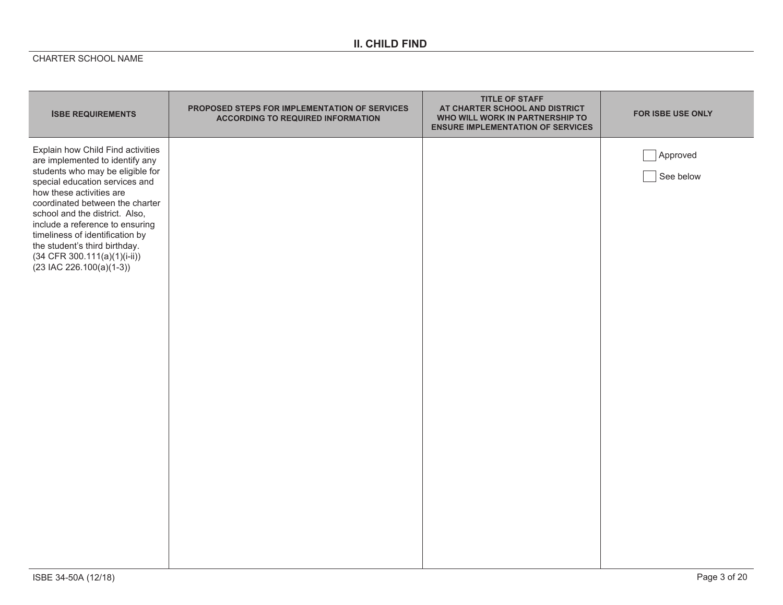# **II. CHILD FIND**

| <b>ISBE REQUIREMENTS</b>                                                                                                                                                                                                                                                                                                                                                                                           | <b>PROPOSED STEPS FOR IMPLEMENTATION OF SERVICES</b><br><b>ACCORDING TO REQUIRED INFORMATION</b> | <b>TITLE OF STAFF</b><br>AT CHARTER SCHOOL AND DISTRICT<br>WHO WILL WORK IN PARTNERSHIP TO<br><b>ENSURE IMPLEMENTATION OF SERVICES</b> | <b>FOR ISBE USE ONLY</b> |
|--------------------------------------------------------------------------------------------------------------------------------------------------------------------------------------------------------------------------------------------------------------------------------------------------------------------------------------------------------------------------------------------------------------------|--------------------------------------------------------------------------------------------------|----------------------------------------------------------------------------------------------------------------------------------------|--------------------------|
| Explain how Child Find activities<br>are implemented to identify any<br>students who may be eligible for<br>special education services and<br>how these activities are<br>coordinated between the charter<br>school and the district. Also,<br>include a reference to ensuring<br>timeliness of identification by<br>the student's third birthday.<br>$(34 CFR 300.111(a)(1)(i-ii))$<br>$(23$ IAC 226.100(a)(1-3)) |                                                                                                  |                                                                                                                                        | Approved<br>See below    |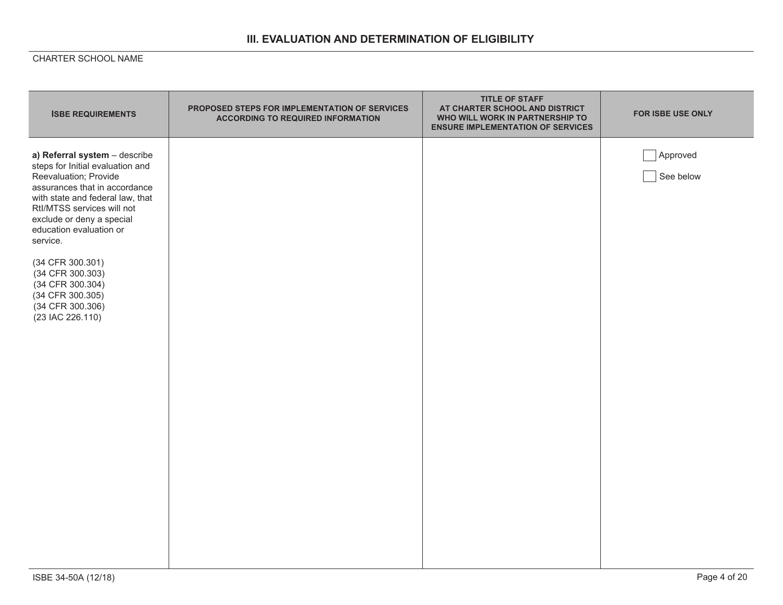## **III. EVALUATION AND DETERMINATION OF ELIGIBILITY**

| <b>ISBE REQUIREMENTS</b>                                                                                                                                                                                                                                                                                                                                                                  | PROPOSED STEPS FOR IMPLEMENTATION OF SERVICES<br><b>ACCORDING TO REQUIRED INFORMATION</b> | <b>TITLE OF STAFF</b><br>AT CHARTER SCHOOL AND DISTRICT<br>WHO WILL WORK IN PARTNERSHIP TO<br><b>ENSURE IMPLEMENTATION OF SERVICES</b> | <b>FOR ISBE USE ONLY</b> |
|-------------------------------------------------------------------------------------------------------------------------------------------------------------------------------------------------------------------------------------------------------------------------------------------------------------------------------------------------------------------------------------------|-------------------------------------------------------------------------------------------|----------------------------------------------------------------------------------------------------------------------------------------|--------------------------|
| a) Referral system - describe<br>steps for Initial evaluation and<br>Reevaluation; Provide<br>assurances that in accordance<br>with state and federal law, that<br>Rtl/MTSS services will not<br>exclude or deny a special<br>education evaluation or<br>service.<br>(34 CFR 300.301)<br>(34 CFR 300.303)<br>(34 CFR 300.304)<br>(34 CFR 300.305)<br>(34 CFR 300.306)<br>(23 IAC 226.110) |                                                                                           |                                                                                                                                        | Approved<br>See below    |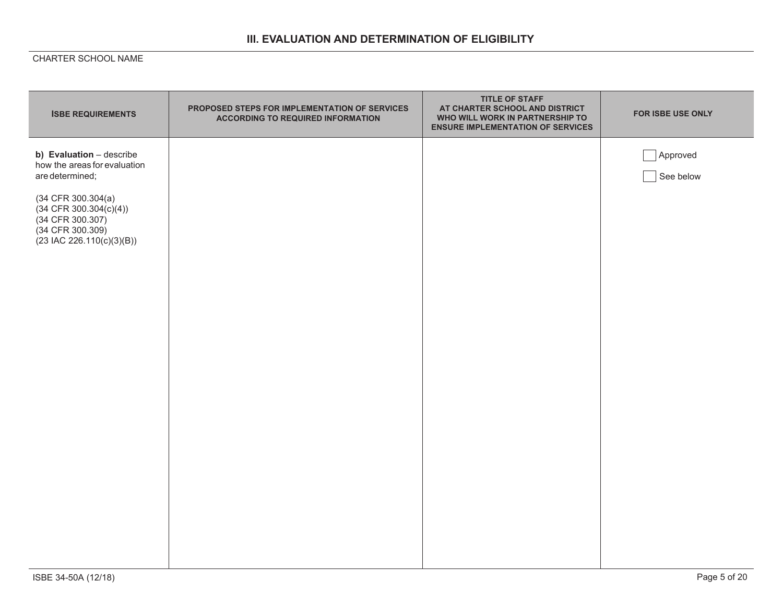# **III. EVALUATION AND DETERMINATION OF ELIGIBILITY**

| <b>ISBE REQUIREMENTS</b>                                                                                                   | PROPOSED STEPS FOR IMPLEMENTATION OF SERVICES<br><b>ACCORDING TO REQUIRED INFORMATION</b> | <b>TITLE OF STAFF</b><br>AT CHARTER SCHOOL AND DISTRICT<br>WHO WILL WORK IN PARTNERSHIP TO<br><b>ENSURE IMPLEMENTATION OF SERVICES</b> | FOR ISBE USE ONLY     |
|----------------------------------------------------------------------------------------------------------------------------|-------------------------------------------------------------------------------------------|----------------------------------------------------------------------------------------------------------------------------------------|-----------------------|
| b) Evaluation - describe<br>how the areas for evaluation<br>are determined;                                                |                                                                                           |                                                                                                                                        | Approved<br>See below |
| $(34$ CFR 300.304 $(a)$<br>$(34$ CFR 300.304(c)(4))<br>(34 CFR 300.307)<br>(34 CFR 300.309)<br>$(23$ IAC 226.110(c)(3)(B)) |                                                                                           |                                                                                                                                        |                       |
|                                                                                                                            |                                                                                           |                                                                                                                                        |                       |
|                                                                                                                            |                                                                                           |                                                                                                                                        |                       |
|                                                                                                                            |                                                                                           |                                                                                                                                        |                       |
|                                                                                                                            |                                                                                           |                                                                                                                                        |                       |
|                                                                                                                            |                                                                                           |                                                                                                                                        |                       |
|                                                                                                                            |                                                                                           |                                                                                                                                        |                       |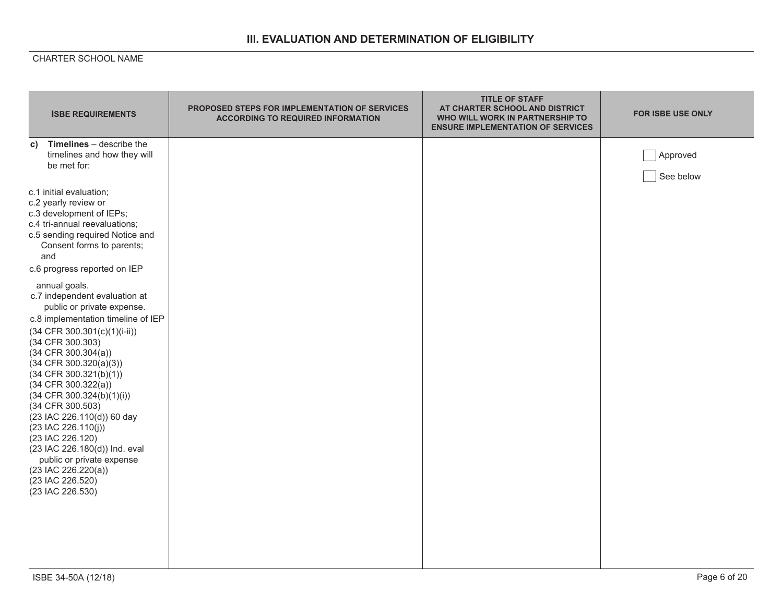## **III. EVALUATION AND DETERMINATION OF ELIGIBILITY**

| <b>ISBE REQUIREMENTS</b>                                                                                                                                                                                                                                                                                                                                                                                                                                                                                                                                                      | <b>PROPOSED STEPS FOR IMPLEMENTATION OF SERVICES</b><br><b>ACCORDING TO REQUIRED INFORMATION</b> | <b>TITLE OF STAFF</b><br>AT CHARTER SCHOOL AND DISTRICT<br>WHO WILL WORK IN PARTNERSHIP TO<br><b>ENSURE IMPLEMENTATION OF SERVICES</b> | <b>FOR ISBE USE ONLY</b> |
|-------------------------------------------------------------------------------------------------------------------------------------------------------------------------------------------------------------------------------------------------------------------------------------------------------------------------------------------------------------------------------------------------------------------------------------------------------------------------------------------------------------------------------------------------------------------------------|--------------------------------------------------------------------------------------------------|----------------------------------------------------------------------------------------------------------------------------------------|--------------------------|
| Timelines - describe the<br>C)<br>timelines and how they will<br>be met for:                                                                                                                                                                                                                                                                                                                                                                                                                                                                                                  |                                                                                                  |                                                                                                                                        | Approved<br>See below    |
| c.1 initial evaluation;<br>c.2 yearly review or<br>c.3 development of IEPs;<br>c.4 tri-annual reevaluations;<br>c.5 sending required Notice and<br>Consent forms to parents;<br>and                                                                                                                                                                                                                                                                                                                                                                                           |                                                                                                  |                                                                                                                                        |                          |
| c.6 progress reported on IEP<br>annual goals.<br>c.7 independent evaluation at<br>public or private expense.<br>c.8 implementation timeline of IEP<br>$(34 CFR 300.301(c)(1)(i-ii))$<br>(34 CFR 300.303)<br>$(34$ CFR 300.304(a))<br>$(34$ CFR 300.320(a)(3))<br>$(34$ CFR 300.321(b)(1))<br>$(34$ CFR $300.322(a))$<br>(34 CFR 300.324(b)(1)(i))<br>(34 CFR 300.503)<br>(23 IAC 226.110(d)) 60 day<br>(23 IAC 226.110(j))<br>(23 IAC 226.120)<br>(23 IAC 226.180(d)) Ind. eval<br>public or private expense<br>$(23$ IAC 226.220(a))<br>(23 IAC 226.520)<br>(23 IAC 226.530) |                                                                                                  |                                                                                                                                        |                          |
| ISBE 34-50A (12/18)                                                                                                                                                                                                                                                                                                                                                                                                                                                                                                                                                           |                                                                                                  |                                                                                                                                        | Page 6 of 20             |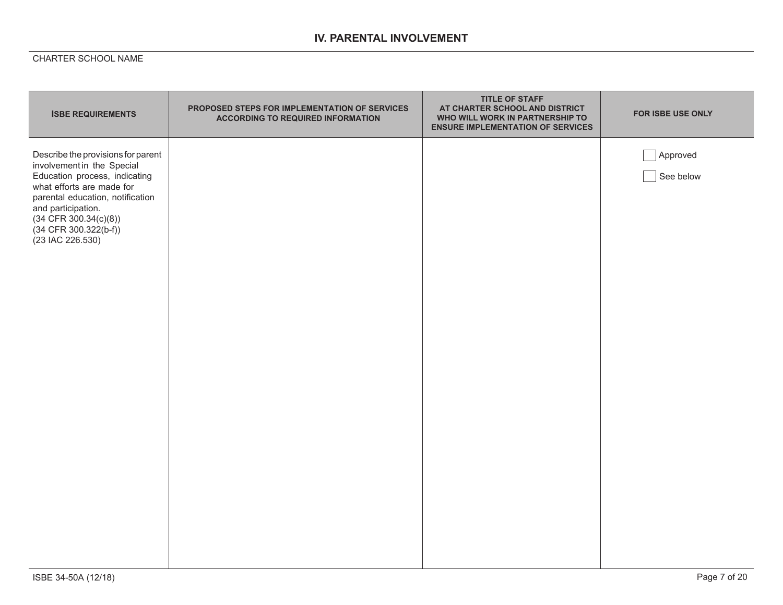## **IV. PARENTAL INVOLVEMENT**

| <b>ISBE REQUIREMENTS</b>                                                                                                                                                                                                                                         | PROPOSED STEPS FOR IMPLEMENTATION OF SERVICES<br><b>ACCORDING TO REQUIRED INFORMATION</b> | <b>TITLE OF STAFF</b><br>AT CHARTER SCHOOL AND DISTRICT<br>WHO WILL WORK IN PARTNERSHIP TO<br><b>ENSURE IMPLEMENTATION OF SERVICES</b> | FOR ISBE USE ONLY     |
|------------------------------------------------------------------------------------------------------------------------------------------------------------------------------------------------------------------------------------------------------------------|-------------------------------------------------------------------------------------------|----------------------------------------------------------------------------------------------------------------------------------------|-----------------------|
| Describe the provisions for parent<br>involvement in the Special<br>Education process, indicating<br>what efforts are made for<br>parental education, notification<br>and participation.<br>$(34$ CFR 300.34(c)(8))<br>(34 CFR 300.322(b-f))<br>(23 IAC 226.530) |                                                                                           |                                                                                                                                        | Approved<br>See below |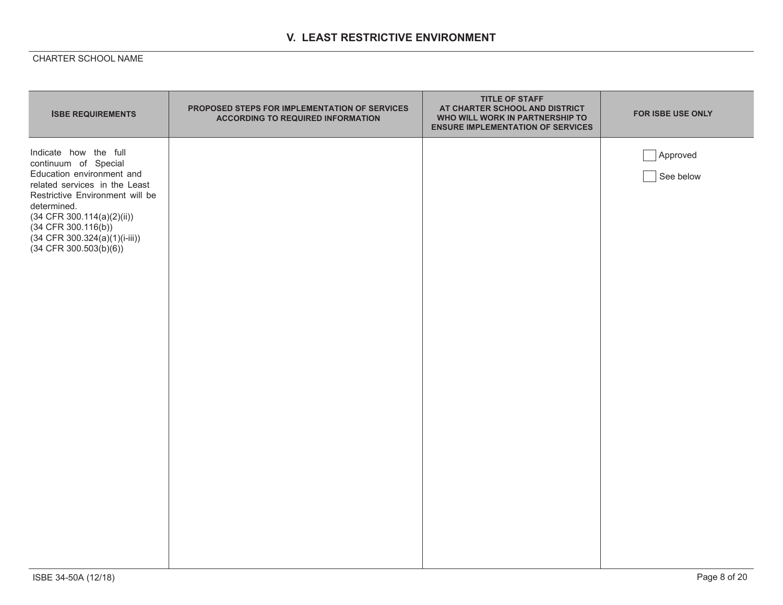## **V. LEAST RESTRICTIVE ENVIRONMENT**

| <b>ISBE REQUIREMENTS</b>                                                                                                                                                                                                                                                              | PROPOSED STEPS FOR IMPLEMENTATION OF SERVICES<br><b>ACCORDING TO REQUIRED INFORMATION</b> | <b>TITLE OF STAFF</b><br>AT CHARTER SCHOOL AND DISTRICT<br>WHO WILL WORK IN PARTNERSHIP TO<br><b>ENSURE IMPLEMENTATION OF SERVICES</b> | <b>FOR ISBE USE ONLY</b> |
|---------------------------------------------------------------------------------------------------------------------------------------------------------------------------------------------------------------------------------------------------------------------------------------|-------------------------------------------------------------------------------------------|----------------------------------------------------------------------------------------------------------------------------------------|--------------------------|
| Indicate how the full<br>continuum of Special<br>Education environment and<br>related services in the Least<br>Restrictive Environment will be<br>determined.<br>$(34$ CFR 300.114(a)(2)(ii))<br>$(34$ CFR 300.116(b))<br>$(34$ CFR 300.324(a)(1)(i-iii))<br>$(34$ CFR 300.503(b)(6)) |                                                                                           |                                                                                                                                        | Approved<br>See below    |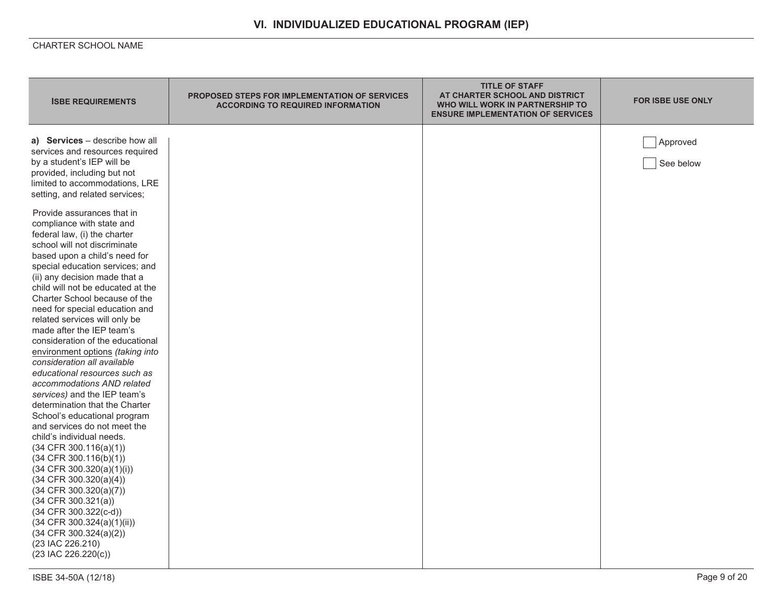| <b>ISBE REQUIREMENTS</b>                                                                                                                                                                                                                                                                                                                                                                                                                                                                                                                                                                                                                                                                                                                                                                                                                                                                                                                                                                                                                                                                                                                                                                                                                                    | <b>PROPOSED STEPS FOR IMPLEMENTATION OF SERVICES</b><br><b>ACCORDING TO REQUIRED INFORMATION</b> | <b>TITLE OF STAFF</b><br>AT CHARTER SCHOOL AND DISTRICT<br>WHO WILL WORK IN PARTNERSHIP TO<br><b>ENSURE IMPLEMENTATION OF SERVICES</b> | <b>FOR ISBE USE ONLY</b> |
|-------------------------------------------------------------------------------------------------------------------------------------------------------------------------------------------------------------------------------------------------------------------------------------------------------------------------------------------------------------------------------------------------------------------------------------------------------------------------------------------------------------------------------------------------------------------------------------------------------------------------------------------------------------------------------------------------------------------------------------------------------------------------------------------------------------------------------------------------------------------------------------------------------------------------------------------------------------------------------------------------------------------------------------------------------------------------------------------------------------------------------------------------------------------------------------------------------------------------------------------------------------|--------------------------------------------------------------------------------------------------|----------------------------------------------------------------------------------------------------------------------------------------|--------------------------|
| a) Services - describe how all<br>services and resources required<br>by a student's IEP will be<br>provided, including but not<br>limited to accommodations, LRE<br>setting, and related services;<br>Provide assurances that in<br>compliance with state and<br>federal law, (i) the charter<br>school will not discriminate<br>based upon a child's need for<br>special education services; and<br>(ii) any decision made that a<br>child will not be educated at the<br>Charter School because of the<br>need for special education and<br>related services will only be<br>made after the IEP team's<br>consideration of the educational<br>environment options (taking into<br>consideration all available<br>educational resources such as<br>accommodations AND related<br>services) and the IEP team's<br>determination that the Charter<br>School's educational program<br>and services do not meet the<br>child's individual needs.<br>$(34$ CFR 300.116(a)(1))<br>(34 CFR 300.116(b)(1))<br>$(34$ CFR 300.320(a)(1)(i))<br>$(34$ CFR $300.320(a)(4))$<br>$(34$ CFR 300.320(a)(7))<br>$(34$ CFR $300.321(a))$<br>(34 CFR 300.322(c-d))<br>$(34$ CFR 300.324(a)(1)(ii))<br>$(34$ CFR $300.324(a)(2))$<br>(23 IAC 226.210)<br>$(23$ IAC 226.220(c)) |                                                                                                  |                                                                                                                                        | Approved<br>See below    |
| ISBE 34-50A (12/18)                                                                                                                                                                                                                                                                                                                                                                                                                                                                                                                                                                                                                                                                                                                                                                                                                                                                                                                                                                                                                                                                                                                                                                                                                                         |                                                                                                  |                                                                                                                                        | Page 9 of 20             |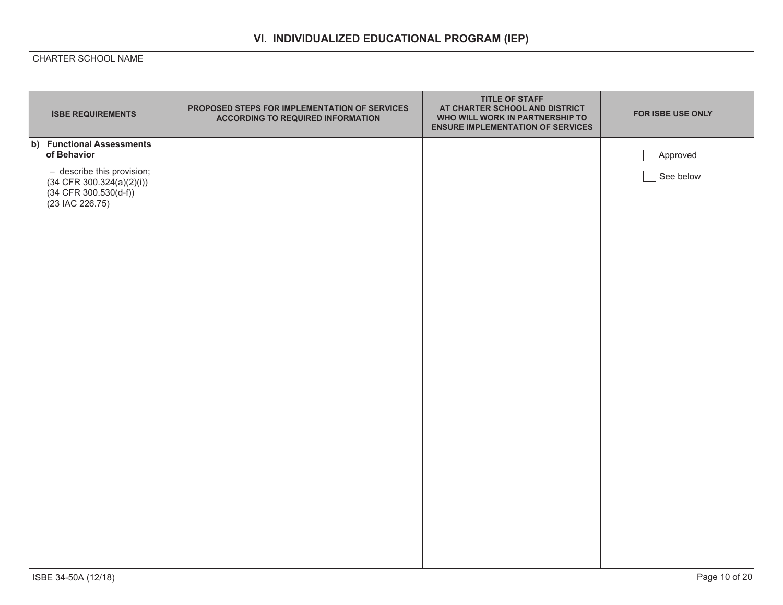| <b>ISBE REQUIREMENTS</b>                                                                                                                                | PROPOSED STEPS FOR IMPLEMENTATION OF SERVICES<br><b>ACCORDING TO REQUIRED INFORMATION</b> | <b>TITLE OF STAFF</b><br>AT CHARTER SCHOOL AND DISTRICT<br>WHO WILL WORK IN PARTNERSHIP TO<br><b>ENSURE IMPLEMENTATION OF SERVICES</b> | FOR ISBE USE ONLY     |
|---------------------------------------------------------------------------------------------------------------------------------------------------------|-------------------------------------------------------------------------------------------|----------------------------------------------------------------------------------------------------------------------------------------|-----------------------|
| b) Functional Assessments<br>of Behavior<br>- describe this provision;<br>$(34$ CFR $300.324(a)(2)(i))$<br>$(34$ CFR $300.530(d-f))$<br>(23 IAC 226.75) |                                                                                           |                                                                                                                                        | Approved<br>See below |
|                                                                                                                                                         |                                                                                           |                                                                                                                                        |                       |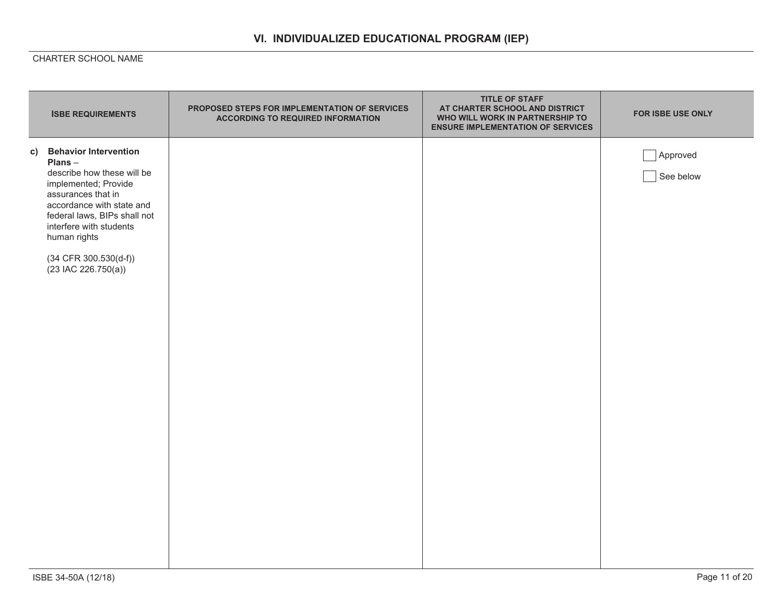|    | <b>ISBE REQUIREMENTS</b>                                                                                                                                                                                                                                                         | PROPOSED STEPS FOR IMPLEMENTATION OF SERVICES<br><b>ACCORDING TO REQUIRED INFORMATION</b> | <b>TITLE OF STAFF</b><br>AT CHARTER SCHOOL AND DISTRICT<br>WHO WILL WORK IN PARTNERSHIP TO<br><b>ENSURE IMPLEMENTATION OF SERVICES</b> | FOR ISBE USE ONLY     |
|----|----------------------------------------------------------------------------------------------------------------------------------------------------------------------------------------------------------------------------------------------------------------------------------|-------------------------------------------------------------------------------------------|----------------------------------------------------------------------------------------------------------------------------------------|-----------------------|
| C) | <b>Behavior Intervention</b><br>Plans-<br>describe how these will be<br>implemented; Provide<br>assurances that in<br>accordance with state and<br>federal laws, BIPs shall not<br>interfere with students<br>human rights<br>$(34$ CFR $300.530(d-f))$<br>$(23$ IAC 226.750(a)) |                                                                                           |                                                                                                                                        | Approved<br>See below |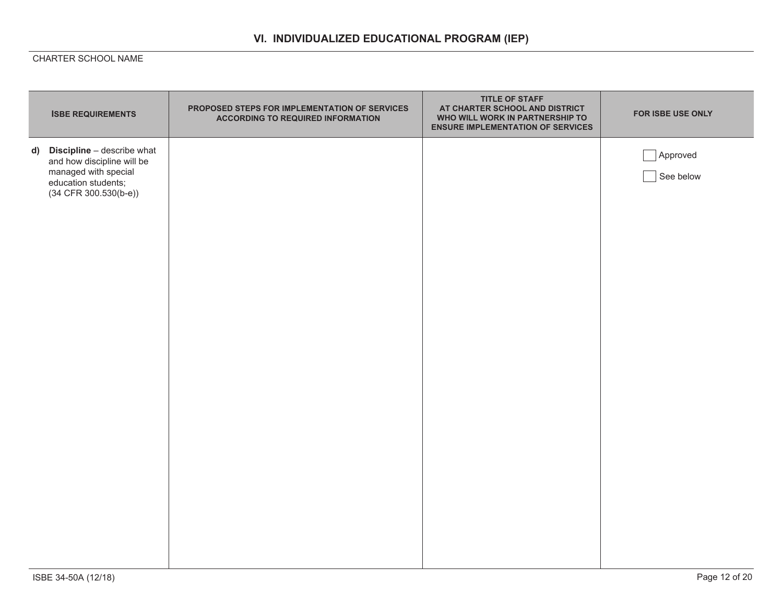| d) Discipline - describe what<br>Approved                                             | <b>ISBE REQUIREMENTS</b>   | PROPOSED STEPS FOR IMPLEMENTATION OF SERVICES<br><b>ACCORDING TO REQUIRED INFORMATION</b> | <b>TITLE OF STAFF</b><br>AT CHARTER SCHOOL AND DISTRICT<br>WHO WILL WORK IN PARTNERSHIP TO<br><b>ENSURE IMPLEMENTATION OF SERVICES</b> | FOR ISBE USE ONLY |
|---------------------------------------------------------------------------------------|----------------------------|-------------------------------------------------------------------------------------------|----------------------------------------------------------------------------------------------------------------------------------------|-------------------|
| managed with special<br>See below<br>education students;<br>$(34$ CFR $300.530(b-e))$ | and how discipline will be |                                                                                           |                                                                                                                                        |                   |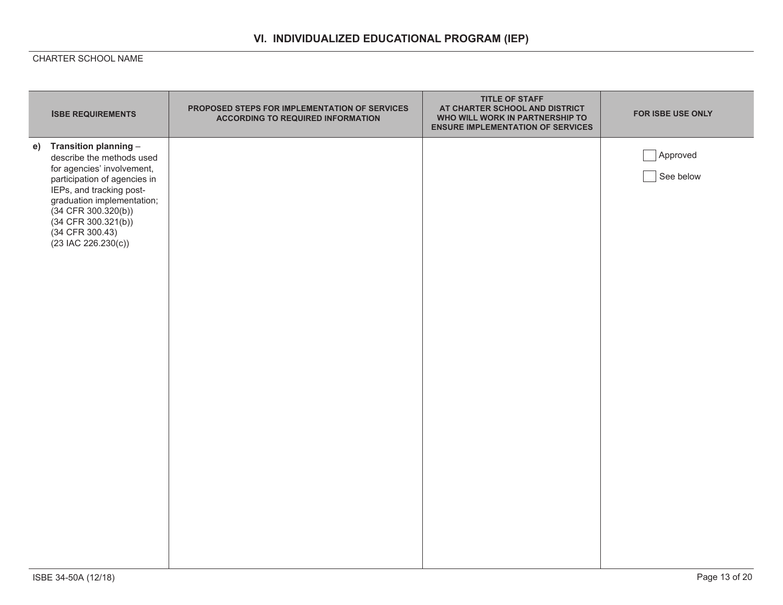| <b>ISBE REQUIREMENTS</b>                                                                                                                                                                                                                                                    | PROPOSED STEPS FOR IMPLEMENTATION OF SERVICES<br><b>ACCORDING TO REQUIRED INFORMATION</b> | <b>TITLE OF STAFF</b><br>AT CHARTER SCHOOL AND DISTRICT<br>WHO WILL WORK IN PARTNERSHIP TO<br><b>ENSURE IMPLEMENTATION OF SERVICES</b> | FOR ISBE USE ONLY     |
|-----------------------------------------------------------------------------------------------------------------------------------------------------------------------------------------------------------------------------------------------------------------------------|-------------------------------------------------------------------------------------------|----------------------------------------------------------------------------------------------------------------------------------------|-----------------------|
| e) Transition planning -<br>describe the methods used<br>for agencies' involvement,<br>participation of agencies in<br>IEPs, and tracking post-<br>graduation implementation;<br>(34 CFR 300.320(b))<br>$(34$ CFR $300.321(b))$<br>(34 CFR 300.43)<br>$(23$ IAC 226.230(c)) |                                                                                           |                                                                                                                                        | Approved<br>See below |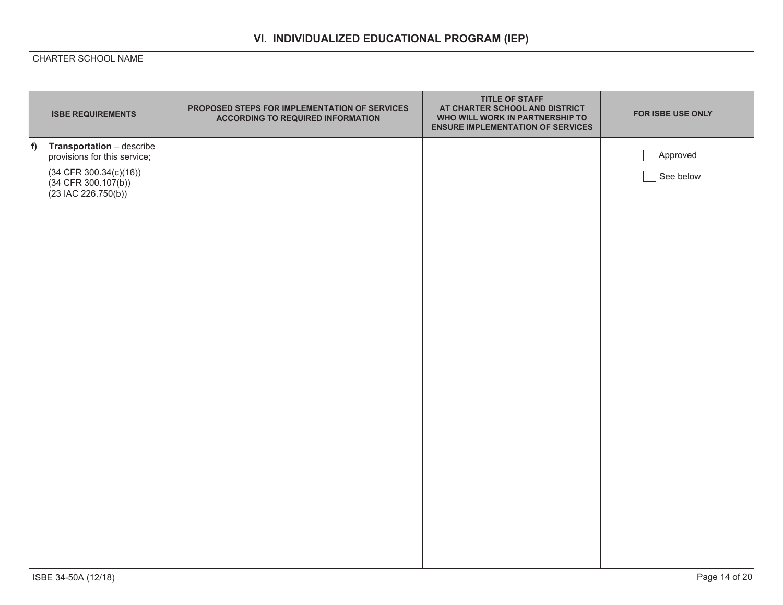|   | <b>ISBE REQUIREMENTS</b>                                                   | PROPOSED STEPS FOR IMPLEMENTATION OF SERVICES<br><b>ACCORDING TO REQUIRED INFORMATION</b> | <b>TITLE OF STAFF</b><br>AT CHARTER SCHOOL AND DISTRICT<br>WHO WILL WORK IN PARTNERSHIP TO<br><b>ENSURE IMPLEMENTATION OF SERVICES</b> | FOR ISBE USE ONLY |
|---|----------------------------------------------------------------------------|-------------------------------------------------------------------------------------------|----------------------------------------------------------------------------------------------------------------------------------------|-------------------|
| f | Transportation - describe<br>provisions for this service;                  |                                                                                           |                                                                                                                                        | Approved          |
|   | $(34$ CFR 300.34(c)(16))<br>$(34$ CFR 300.107(b))<br>$(23$ IAC 226.750(b)) |                                                                                           |                                                                                                                                        | See below         |
|   |                                                                            |                                                                                           |                                                                                                                                        |                   |
|   |                                                                            |                                                                                           |                                                                                                                                        |                   |
|   |                                                                            |                                                                                           |                                                                                                                                        |                   |
|   |                                                                            |                                                                                           |                                                                                                                                        |                   |
|   |                                                                            |                                                                                           |                                                                                                                                        |                   |
|   |                                                                            |                                                                                           |                                                                                                                                        |                   |
|   |                                                                            |                                                                                           |                                                                                                                                        |                   |
|   |                                                                            |                                                                                           |                                                                                                                                        |                   |
|   |                                                                            |                                                                                           |                                                                                                                                        |                   |
|   |                                                                            |                                                                                           |                                                                                                                                        |                   |
|   |                                                                            |                                                                                           |                                                                                                                                        |                   |
|   |                                                                            |                                                                                           |                                                                                                                                        |                   |
|   |                                                                            |                                                                                           |                                                                                                                                        |                   |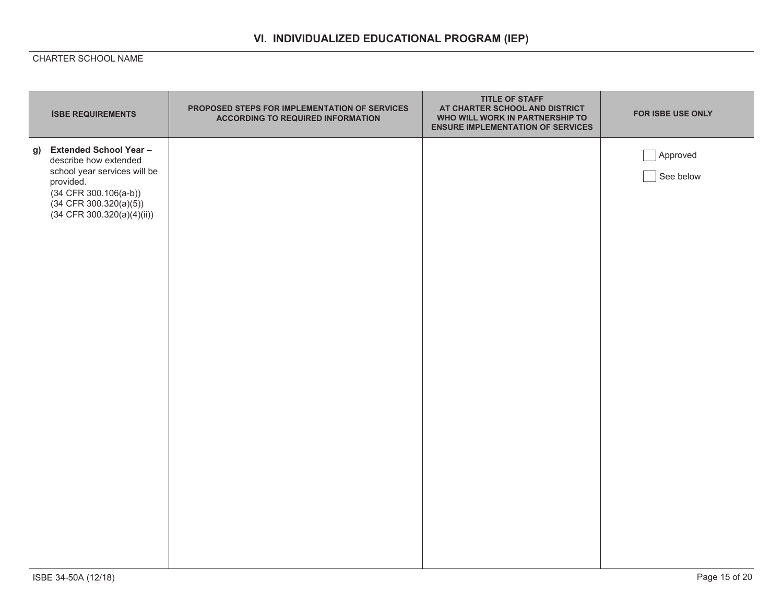| <b>ISBE REQUIREMENTS</b>                                                                                                                                                                | PROPOSED STEPS FOR IMPLEMENTATION OF SERVICES<br><b>ACCORDING TO REQUIRED INFORMATION</b> | <b>TITLE OF STAFF</b><br>AT CHARTER SCHOOL AND DISTRICT<br>WHO WILL WORK IN PARTNERSHIP TO<br><b>ENSURE IMPLEMENTATION OF SERVICES</b> | FOR ISBE USE ONLY     |
|-----------------------------------------------------------------------------------------------------------------------------------------------------------------------------------------|-------------------------------------------------------------------------------------------|----------------------------------------------------------------------------------------------------------------------------------------|-----------------------|
| g) Extended School Year-<br>describe how extended<br>school year services will be<br>provided.<br>$(34$ CFR $300.106(a-b))$<br>$(34$ CFR 300.320(a)(5))<br>$(34$ CFR 300.320(a)(4)(ii)) |                                                                                           |                                                                                                                                        | Approved<br>See below |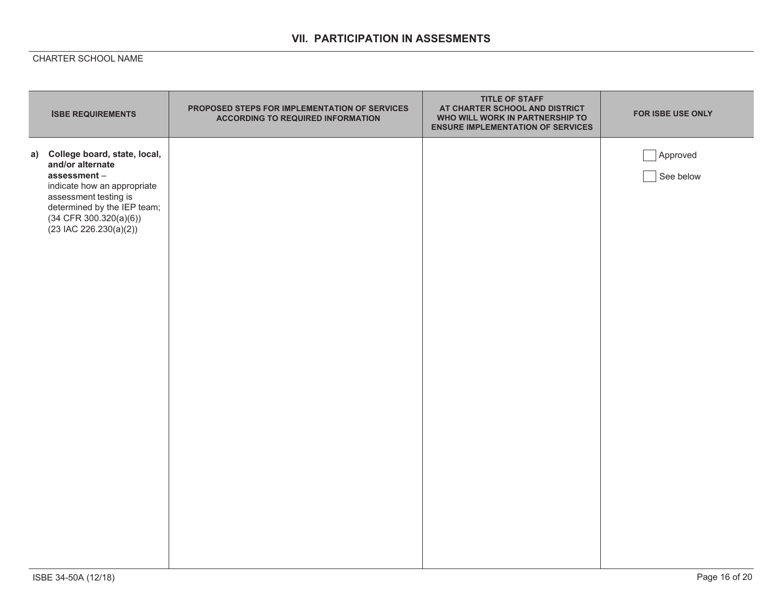## **VII. PARTICIPATION IN ASSESMENTS**

| <b>ISBE REQUIREMENTS</b>                                                                                                                                                                                            | PROPOSED STEPS FOR IMPLEMENTATION OF SERVICES<br><b>ACCORDING TO REQUIRED INFORMATION</b> | <b>TITLE OF STAFF</b><br>AT CHARTER SCHOOL AND DISTRICT<br>WHO WILL WORK IN PARTNERSHIP TO<br><b>ENSURE IMPLEMENTATION OF SERVICES</b> | FOR ISBE USE ONLY     |
|---------------------------------------------------------------------------------------------------------------------------------------------------------------------------------------------------------------------|-------------------------------------------------------------------------------------------|----------------------------------------------------------------------------------------------------------------------------------------|-----------------------|
| a) College board, state, local,<br>and/or alternate<br>assessment-<br>indicate how an appropriate<br>assessment testing is<br>determined by the IEP team;<br>$(34$ CFR $300.320(a)(6))$<br>$(23$ IAC 226.230(a)(2)) |                                                                                           |                                                                                                                                        | Approved<br>See below |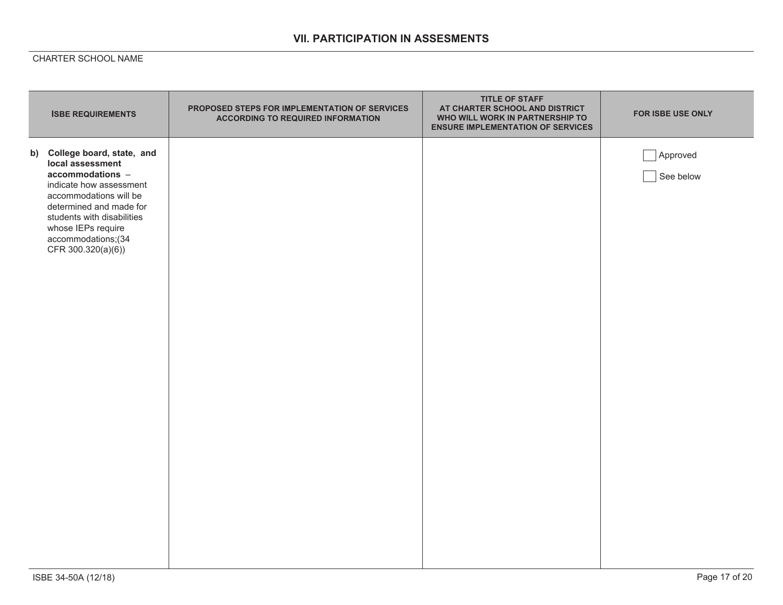## **VII. PARTICIPATION IN ASSESMENTS**

| <b>ISBE REQUIREMENTS</b>                                                                                                                                                                                                                             | PROPOSED STEPS FOR IMPLEMENTATION OF SERVICES<br><b>ACCORDING TO REQUIRED INFORMATION</b> | <b>TITLE OF STAFF</b><br>AT CHARTER SCHOOL AND DISTRICT<br>WHO WILL WORK IN PARTNERSHIP TO<br><b>ENSURE IMPLEMENTATION OF SERVICES</b> | FOR ISBE USE ONLY     |
|------------------------------------------------------------------------------------------------------------------------------------------------------------------------------------------------------------------------------------------------------|-------------------------------------------------------------------------------------------|----------------------------------------------------------------------------------------------------------------------------------------|-----------------------|
| b) College board, state, and<br>local assessment<br>accommodations -<br>indicate how assessment<br>accommodations will be<br>determined and made for<br>students with disabilities<br>whose IEPs require<br>accommodations;(34<br>CFR 300.320(a)(6)) |                                                                                           |                                                                                                                                        | Approved<br>See below |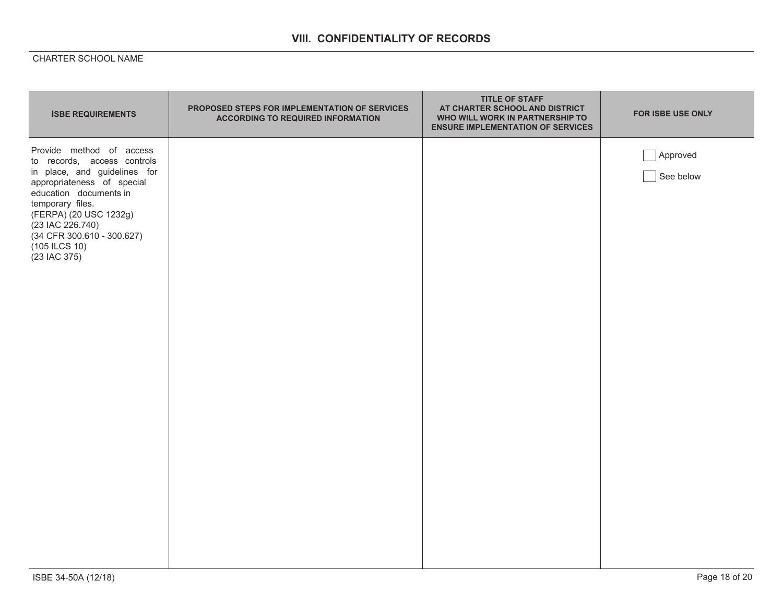## **VIII. CONFIDENTIALITY OF RECORDS**

| <b>ISBE REQUIREMENTS</b>                                                                                                                                                                                                                                                         | PROPOSED STEPS FOR IMPLEMENTATION OF SERVICES<br><b>ACCORDING TO REQUIRED INFORMATION</b> | <b>TITLE OF STAFF</b><br>AT CHARTER SCHOOL AND DISTRICT<br>WHO WILL WORK IN PARTNERSHIP TO<br><b>ENSURE IMPLEMENTATION OF SERVICES</b> | FOR ISBE USE ONLY     |
|----------------------------------------------------------------------------------------------------------------------------------------------------------------------------------------------------------------------------------------------------------------------------------|-------------------------------------------------------------------------------------------|----------------------------------------------------------------------------------------------------------------------------------------|-----------------------|
| Provide method of access<br>to records, access controls<br>in place, and guidelines for<br>appropriateness of special<br>education documents in<br>temporary files.<br>(FERPA) (20 USC 1232g)<br>(23 IAC 226.740)<br>(34 CFR 300.610 - 300.627)<br>(105 ILCS 10)<br>(23 IAC 375) |                                                                                           |                                                                                                                                        | Approved<br>See below |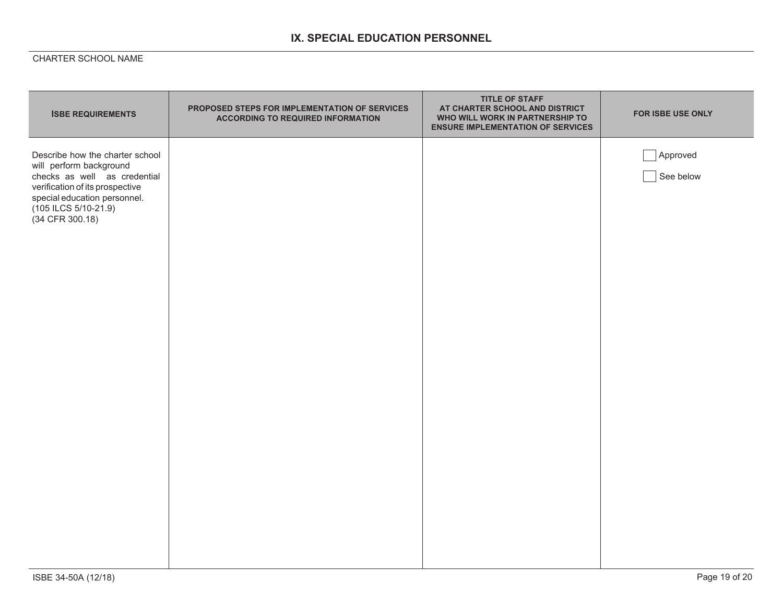# **IX. SPECIAL EDUCATION PERSONNEL**

| <b>ISBE REQUIREMENTS</b>                                                                                                                                                                                     | PROPOSED STEPS FOR IMPLEMENTATION OF SERVICES<br><b>ACCORDING TO REQUIRED INFORMATION</b> | <b>TITLE OF STAFF</b><br>AT CHARTER SCHOOL AND DISTRICT<br>WHO WILL WORK IN PARTNERSHIP TO<br><b>ENSURE IMPLEMENTATION OF SERVICES</b> | FOR ISBE USE ONLY     |
|--------------------------------------------------------------------------------------------------------------------------------------------------------------------------------------------------------------|-------------------------------------------------------------------------------------------|----------------------------------------------------------------------------------------------------------------------------------------|-----------------------|
| Describe how the charter school<br>will perform background<br>checks as well as credential<br>verification of its prospective<br>special education personnel.<br>$(105$ ILCS $5/10-21.9)$<br>(34 CFR 300.18) |                                                                                           |                                                                                                                                        | Approved<br>See below |
|                                                                                                                                                                                                              |                                                                                           |                                                                                                                                        |                       |